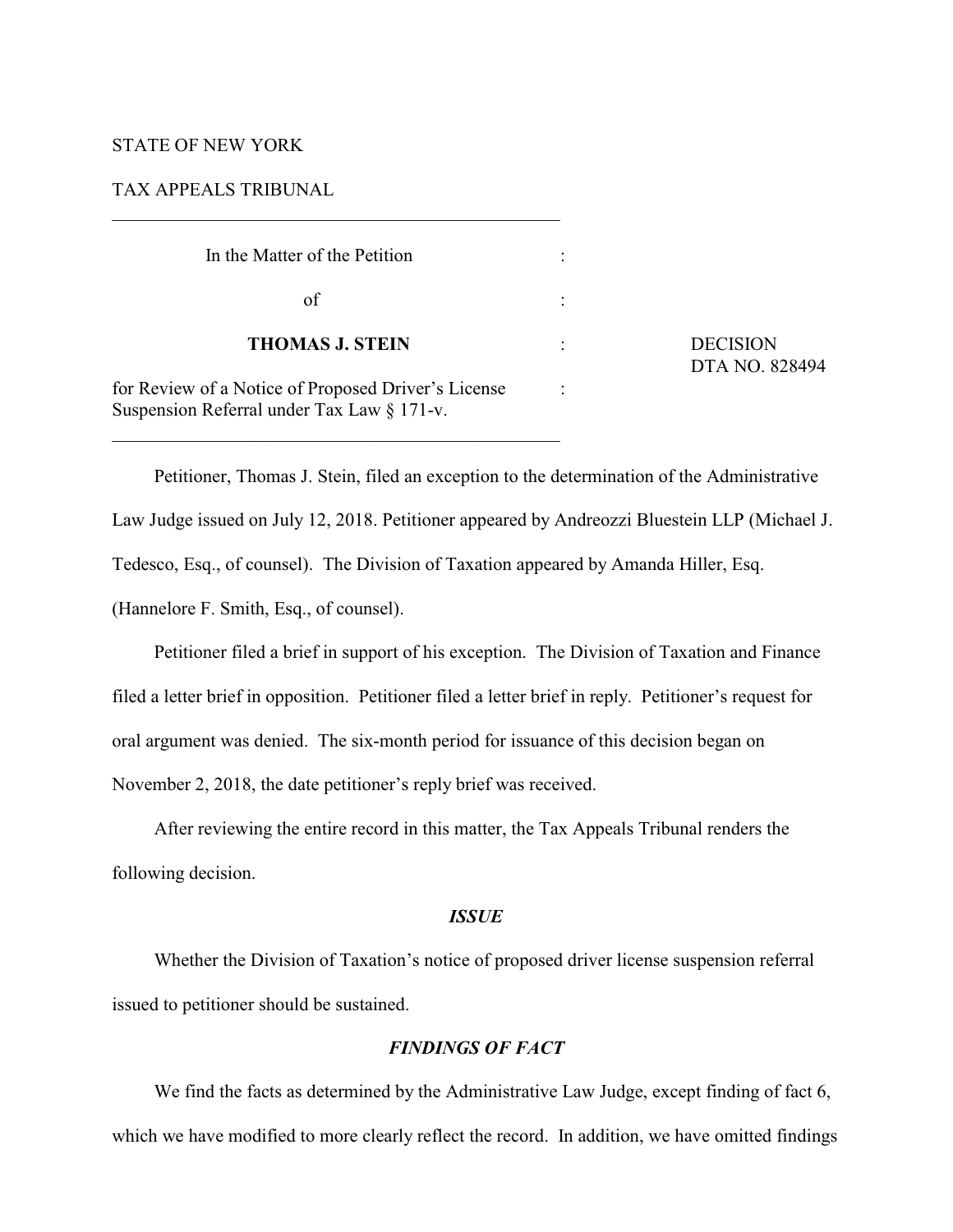# STATE OF NEW YORK

# TAX APPEALS TRIBUNAL

| In the Matter of the Petition                                                                         |                      |                                   |
|-------------------------------------------------------------------------------------------------------|----------------------|-----------------------------------|
| οf                                                                                                    |                      | <b>DECISION</b><br>DTA NO. 828494 |
| <b>THOMAS J. STEIN</b>                                                                                | $\ddot{\phantom{a}}$ |                                   |
| for Review of a Notice of Proposed Driver's License<br>Suspension Referral under Tax Law $\S 171$ -v. |                      |                                   |

Petitioner, Thomas J. Stein, filed an exception to the determination of the Administrative Law Judge issued on July 12, 2018. Petitioner appeared by Andreozzi Bluestein LLP (Michael J. Tedesco, Esq., of counsel). The Division of Taxation appeared by Amanda Hiller, Esq. (Hannelore F. Smith, Esq., of counsel).

Petitioner filed a brief in support of his exception. The Division of Taxation and Finance filed a letter brief in opposition. Petitioner filed a letter brief in reply. Petitioner's request for oral argument was denied. The six-month period for issuance of this decision began on November 2, 2018, the date petitioner's reply brief was received.

After reviewing the entire record in this matter, the Tax Appeals Tribunal renders the following decision.

#### *ISSUE*

Whether the Division of Taxation's notice of proposed driver license suspension referral issued to petitioner should be sustained.

# *FINDINGS OF FACT*

We find the facts as determined by the Administrative Law Judge, except finding of fact 6, which we have modified to more clearly reflect the record. In addition, we have omitted findings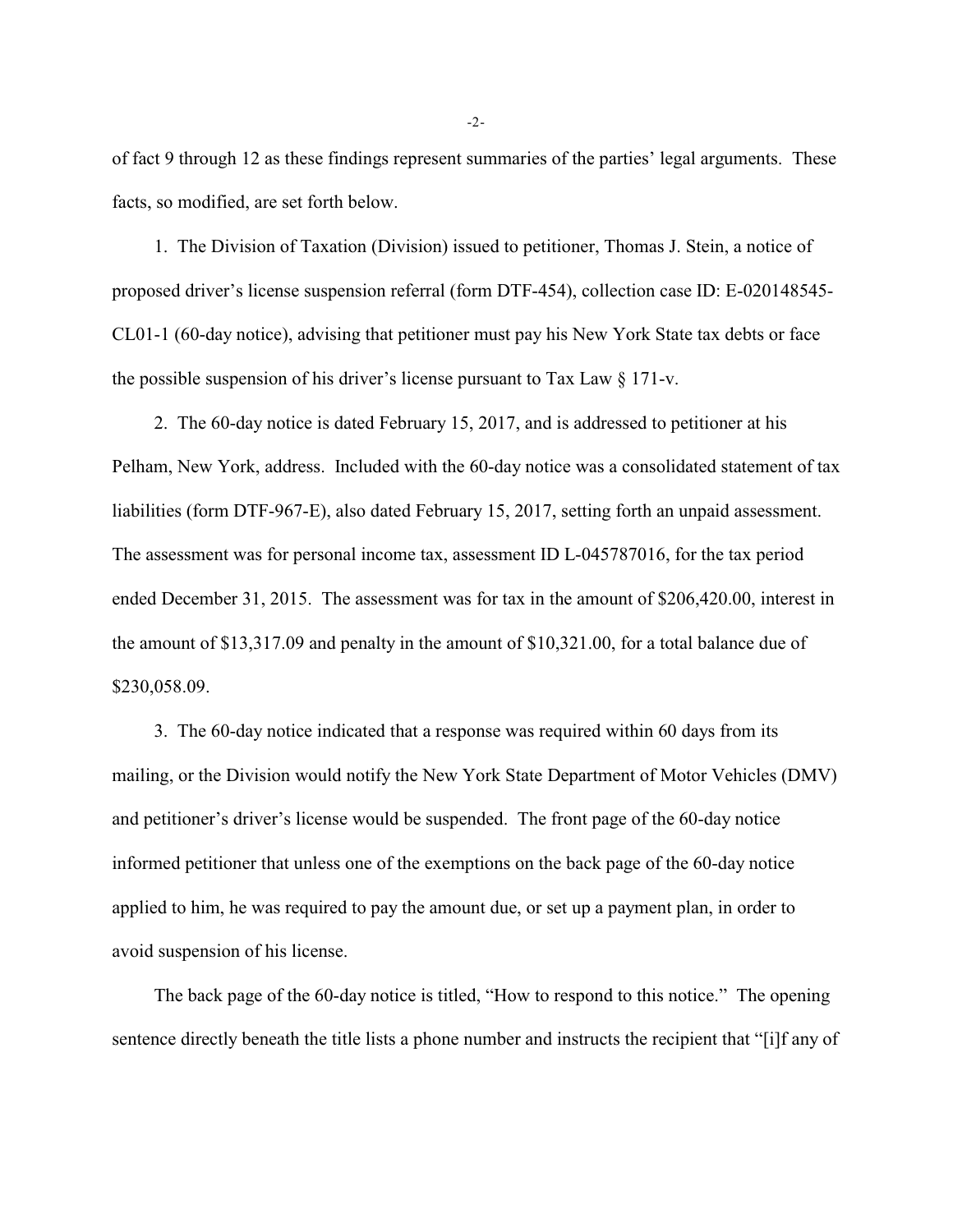of fact 9 through 12 as these findings represent summaries of the parties' legal arguments. These facts, so modified, are set forth below.

1. The Division of Taxation (Division) issued to petitioner, Thomas J. Stein, a notice of proposed driver's license suspension referral (form DTF-454), collection case ID: E-020148545- CL01-1 (60-day notice), advising that petitioner must pay his New York State tax debts or face the possible suspension of his driver's license pursuant to Tax Law  $\S 171$ -v.

2. The 60-day notice is dated February 15, 2017, and is addressed to petitioner at his Pelham, New York, address. Included with the 60-day notice was a consolidated statement of tax liabilities (form DTF-967-E), also dated February 15, 2017, setting forth an unpaid assessment. The assessment was for personal income tax, assessment ID L-045787016, for the tax period ended December 31, 2015. The assessment was for tax in the amount of \$206,420.00, interest in the amount of \$13,317.09 and penalty in the amount of \$10,321.00, for a total balance due of \$230,058.09.

3. The 60-day notice indicated that a response was required within 60 days from its mailing, or the Division would notify the New York State Department of Motor Vehicles (DMV) and petitioner's driver's license would be suspended. The front page of the 60-day notice informed petitioner that unless one of the exemptions on the back page of the 60-day notice applied to him, he was required to pay the amount due, or set up a payment plan, in order to avoid suspension of his license.

The back page of the 60-day notice is titled, "How to respond to this notice." The opening sentence directly beneath the title lists a phone number and instructs the recipient that "[i]f any of

-2-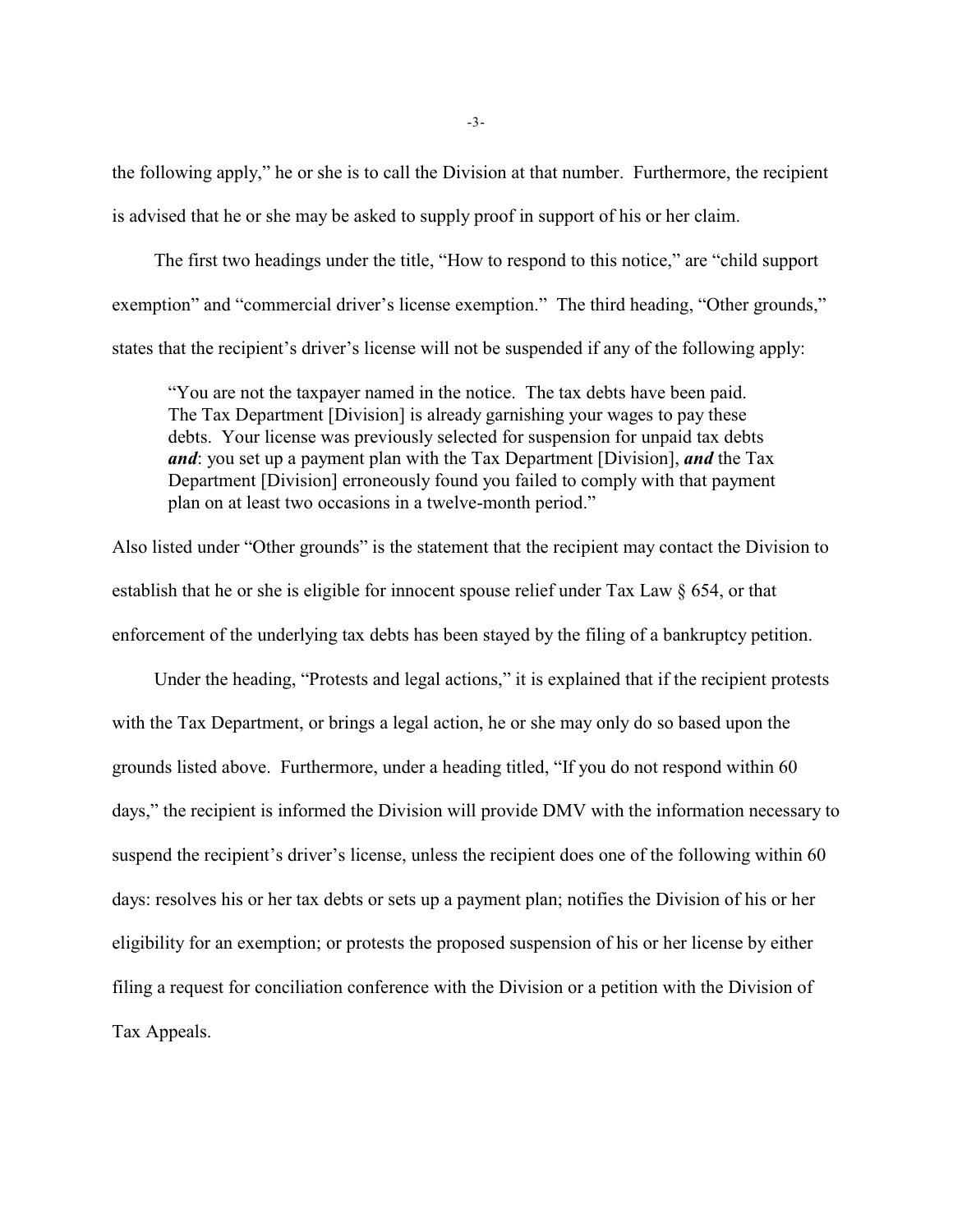the following apply," he or she is to call the Division at that number. Furthermore, the recipient is advised that he or she may be asked to supply proof in support of his or her claim.

The first two headings under the title, "How to respond to this notice," are "child support exemption" and "commercial driver's license exemption." The third heading, "Other grounds," states that the recipient's driver's license will not be suspended if any of the following apply:

"You are not the taxpayer named in the notice. The tax debts have been paid. The Tax Department [Division] is already garnishing your wages to pay these debts. Your license was previously selected for suspension for unpaid tax debts *and*: you set up a payment plan with the Tax Department [Division], *and* the Tax Department [Division] erroneously found you failed to comply with that payment plan on at least two occasions in a twelve-month period."

Also listed under "Other grounds" is the statement that the recipient may contact the Division to establish that he or she is eligible for innocent spouse relief under Tax Law § 654, or that enforcement of the underlying tax debts has been stayed by the filing of a bankruptcy petition.

Under the heading, "Protests and legal actions," it is explained that if the recipient protests with the Tax Department, or brings a legal action, he or she may only do so based upon the grounds listed above. Furthermore, under a heading titled, "If you do not respond within 60 days," the recipient is informed the Division will provide DMV with the information necessary to suspend the recipient's driver's license, unless the recipient does one of the following within 60 days: resolves his or her tax debts or sets up a payment plan; notifies the Division of his or her eligibility for an exemption; or protests the proposed suspension of his or her license by either filing a request for conciliation conference with the Division or a petition with the Division of Tax Appeals.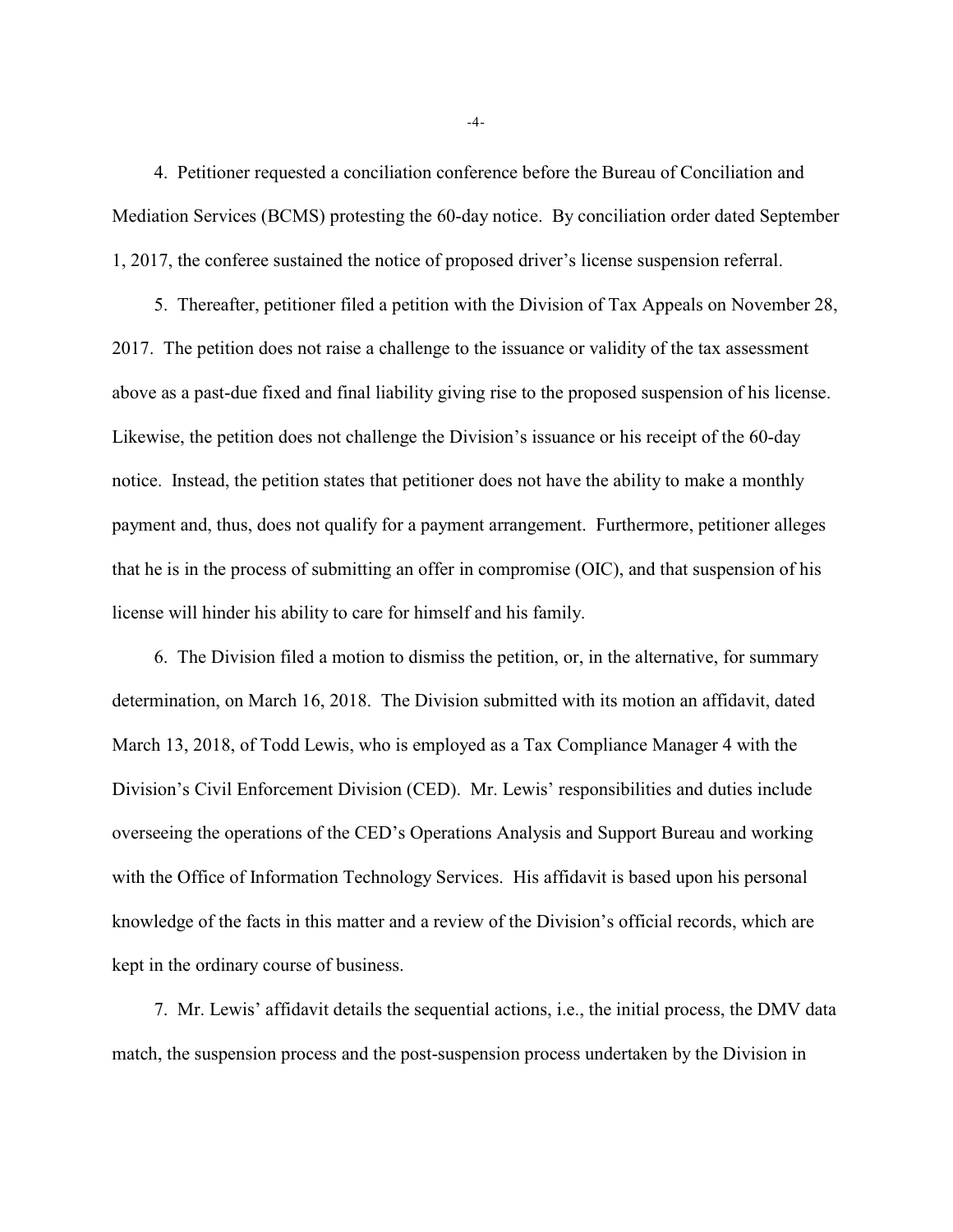4. Petitioner requested a conciliation conference before the Bureau of Conciliation and Mediation Services (BCMS) protesting the 60-day notice. By conciliation order dated September 1, 2017, the conferee sustained the notice of proposed driver's license suspension referral.

5. Thereafter, petitioner filed a petition with the Division of Tax Appeals on November 28, 2017. The petition does not raise a challenge to the issuance or validity of the tax assessment above as a past-due fixed and final liability giving rise to the proposed suspension of his license. Likewise, the petition does not challenge the Division's issuance or his receipt of the 60-day notice. Instead, the petition states that petitioner does not have the ability to make a monthly payment and, thus, does not qualify for a payment arrangement. Furthermore, petitioner alleges that he is in the process of submitting an offer in compromise (OIC), and that suspension of his license will hinder his ability to care for himself and his family.

6. The Division filed a motion to dismiss the petition, or, in the alternative, for summary determination, on March 16, 2018. The Division submitted with its motion an affidavit, dated March 13, 2018, of Todd Lewis, who is employed as a Tax Compliance Manager 4 with the Division's Civil Enforcement Division (CED). Mr. Lewis' responsibilities and duties include overseeing the operations of the CED's Operations Analysis and Support Bureau and working with the Office of Information Technology Services. His affidavit is based upon his personal knowledge of the facts in this matter and a review of the Division's official records, which are kept in the ordinary course of business.

7. Mr. Lewis' affidavit details the sequential actions, i.e., the initial process, the DMV data match, the suspension process and the post-suspension process undertaken by the Division in

-4-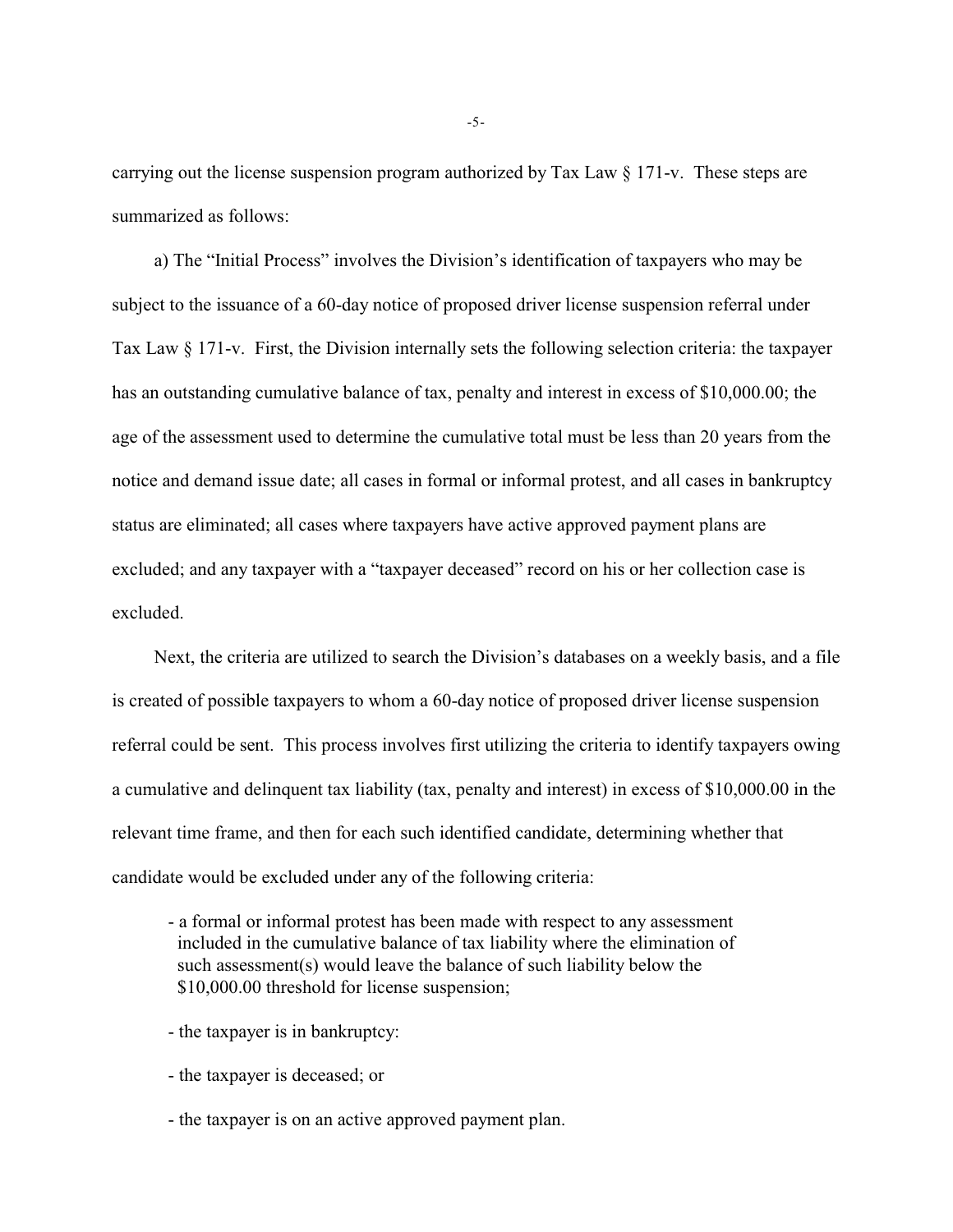carrying out the license suspension program authorized by Tax Law  $\S 171$ -v. These steps are summarized as follows:

a) The "Initial Process" involves the Division's identification of taxpayers who may be subject to the issuance of a 60-day notice of proposed driver license suspension referral under Tax Law § 171-v. First, the Division internally sets the following selection criteria: the taxpayer has an outstanding cumulative balance of tax, penalty and interest in excess of \$10,000.00; the age of the assessment used to determine the cumulative total must be less than 20 years from the notice and demand issue date; all cases in formal or informal protest, and all cases in bankruptcy status are eliminated; all cases where taxpayers have active approved payment plans are excluded; and any taxpayer with a "taxpayer deceased" record on his or her collection case is excluded.

Next, the criteria are utilized to search the Division's databases on a weekly basis, and a file is created of possible taxpayers to whom a 60-day notice of proposed driver license suspension referral could be sent. This process involves first utilizing the criteria to identify taxpayers owing a cumulative and delinquent tax liability (tax, penalty and interest) in excess of \$10,000.00 in the relevant time frame, and then for each such identified candidate, determining whether that candidate would be excluded under any of the following criteria:

- a formal or informal protest has been made with respect to any assessment included in the cumulative balance of tax liability where the elimination of such assessment(s) would leave the balance of such liability below the \$10,000.00 threshold for license suspension;

- the taxpayer is in bankruptcy:
- the taxpayer is deceased; or
- the taxpayer is on an active approved payment plan.

-5-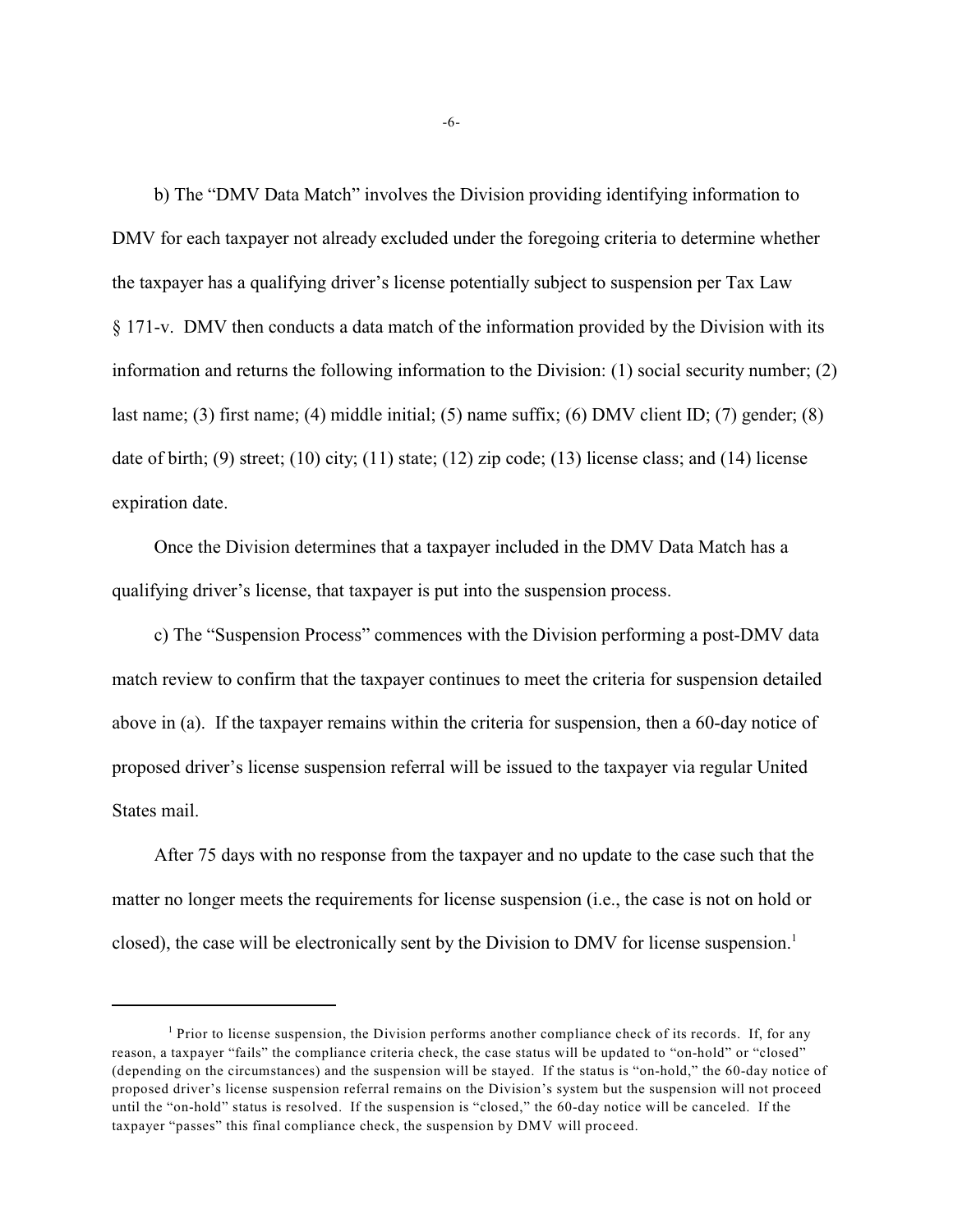b) The "DMV Data Match" involves the Division providing identifying information to DMV for each taxpayer not already excluded under the foregoing criteria to determine whether the taxpayer has a qualifying driver's license potentially subject to suspension per Tax Law § 171-v. DMV then conducts a data match of the information provided by the Division with its information and returns the following information to the Division: (1) social security number; (2) last name; (3) first name; (4) middle initial; (5) name suffix; (6) DMV client ID; (7) gender; (8) date of birth; (9) street; (10) city; (11) state; (12) zip code; (13) license class; and (14) license expiration date.

Once the Division determines that a taxpayer included in the DMV Data Match has a qualifying driver's license, that taxpayer is put into the suspension process.

c) The "Suspension Process" commences with the Division performing a post-DMV data match review to confirm that the taxpayer continues to meet the criteria for suspension detailed above in (a). If the taxpayer remains within the criteria for suspension, then a 60-day notice of proposed driver's license suspension referral will be issued to the taxpayer via regular United States mail.

After 75 days with no response from the taxpayer and no update to the case such that the matter no longer meets the requirements for license suspension (i.e., the case is not on hold or closed), the case will be electronically sent by the Division to DMV for license suspension.<sup>1</sup>

 $<sup>1</sup>$  Prior to license suspension, the Division performs another compliance check of its records. If, for any</sup> reason, a taxpayer "fails" the compliance criteria check, the case status will be updated to "on-hold" or "closed" (depending on the circumstances) and the suspension will be stayed. If the status is "on-hold," the 60-day notice of proposed driver's license suspension referral remains on the Division's system but the suspension will not proceed until the "on-hold" status is resolved. If the suspension is "closed," the 60-day notice will be canceled. If the taxpayer "passes" this final compliance check, the suspension by DMV will proceed.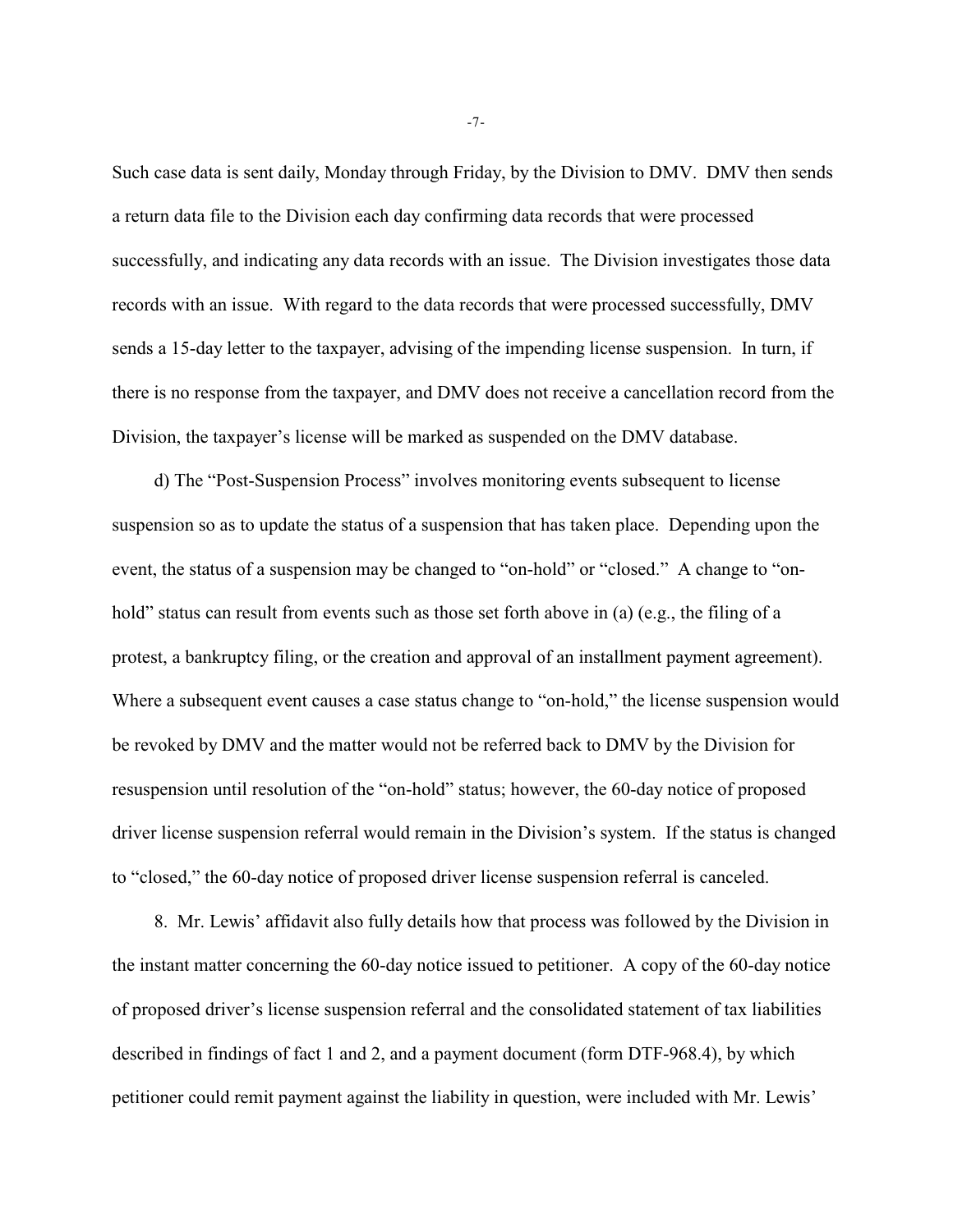Such case data is sent daily, Monday through Friday, by the Division to DMV. DMV then sends a return data file to the Division each day confirming data records that were processed successfully, and indicating any data records with an issue. The Division investigates those data records with an issue. With regard to the data records that were processed successfully, DMV sends a 15-day letter to the taxpayer, advising of the impending license suspension. In turn, if there is no response from the taxpayer, and DMV does not receive a cancellation record from the Division, the taxpayer's license will be marked as suspended on the DMV database.

d) The "Post-Suspension Process" involves monitoring events subsequent to license suspension so as to update the status of a suspension that has taken place. Depending upon the event, the status of a suspension may be changed to "on-hold" or "closed." A change to "onhold" status can result from events such as those set forth above in (a) (e.g., the filing of a protest, a bankruptcy filing, or the creation and approval of an installment payment agreement). Where a subsequent event causes a case status change to "on-hold," the license suspension would be revoked by DMV and the matter would not be referred back to DMV by the Division for resuspension until resolution of the "on-hold" status; however, the 60-day notice of proposed driver license suspension referral would remain in the Division's system. If the status is changed to "closed," the 60-day notice of proposed driver license suspension referral is canceled.

8. Mr. Lewis' affidavit also fully details how that process was followed by the Division in the instant matter concerning the 60-day notice issued to petitioner. A copy of the 60-day notice of proposed driver's license suspension referral and the consolidated statement of tax liabilities described in findings of fact 1 and 2, and a payment document (form DTF-968.4), by which petitioner could remit payment against the liability in question, were included with Mr. Lewis'

-7-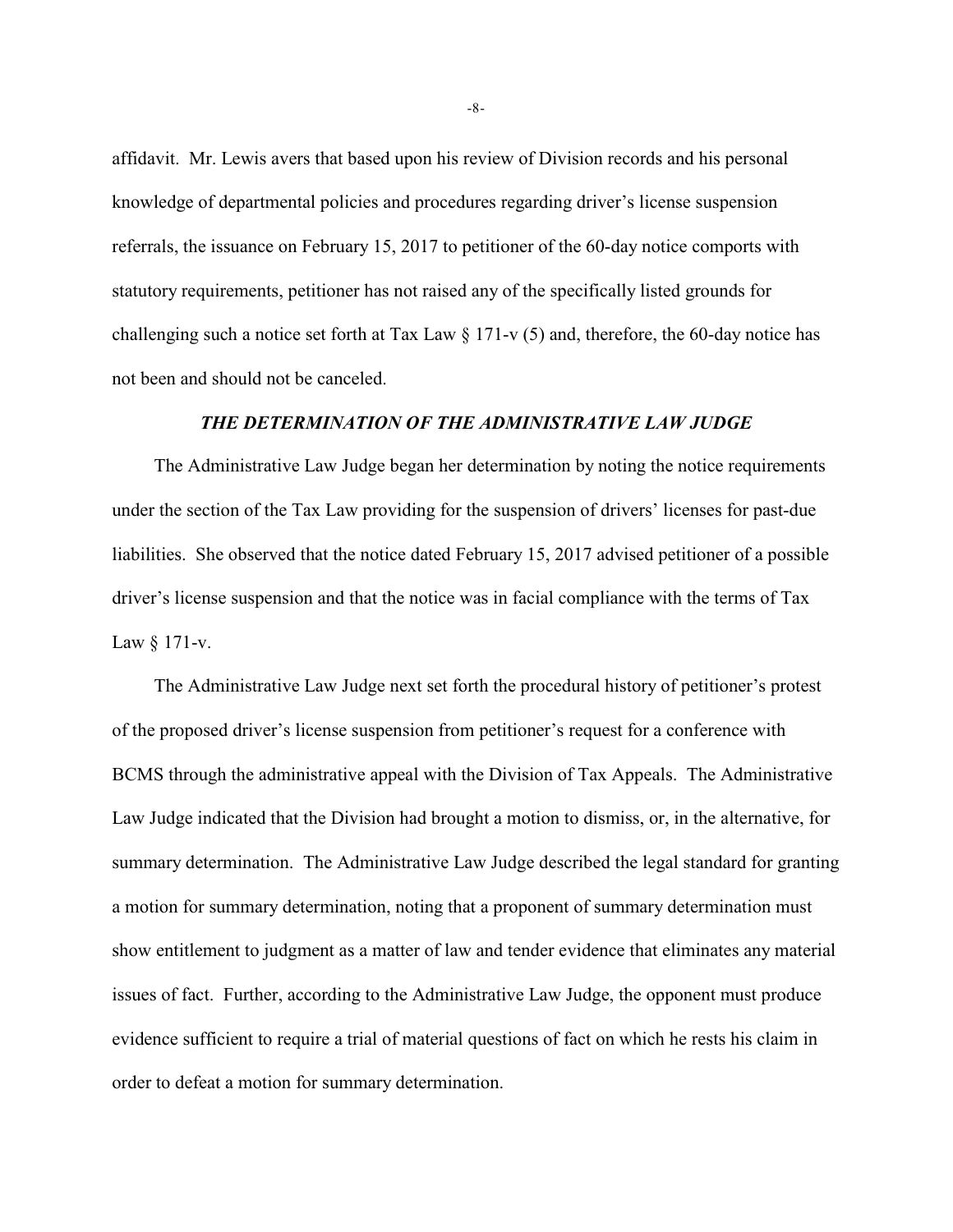affidavit. Mr. Lewis avers that based upon his review of Division records and his personal knowledge of departmental policies and procedures regarding driver's license suspension referrals, the issuance on February 15, 2017 to petitioner of the 60-day notice comports with statutory requirements, petitioner has not raised any of the specifically listed grounds for challenging such a notice set forth at Tax Law  $\S 171-v(5)$  and, therefore, the 60-day notice has not been and should not be canceled.

### *THE DETERMINATION OF THE ADMINISTRATIVE LAW JUDGE*

The Administrative Law Judge began her determination by noting the notice requirements under the section of the Tax Law providing for the suspension of drivers' licenses for past-due liabilities. She observed that the notice dated February 15, 2017 advised petitioner of a possible driver's license suspension and that the notice was in facial compliance with the terms of Tax Law § 171-v.

The Administrative Law Judge next set forth the procedural history of petitioner's protest of the proposed driver's license suspension from petitioner's request for a conference with BCMS through the administrative appeal with the Division of Tax Appeals. The Administrative Law Judge indicated that the Division had brought a motion to dismiss, or, in the alternative, for summary determination. The Administrative Law Judge described the legal standard for granting a motion for summary determination, noting that a proponent of summary determination must show entitlement to judgment as a matter of law and tender evidence that eliminates any material issues of fact. Further, according to the Administrative Law Judge, the opponent must produce evidence sufficient to require a trial of material questions of fact on which he rests his claim in order to defeat a motion for summary determination.

-8-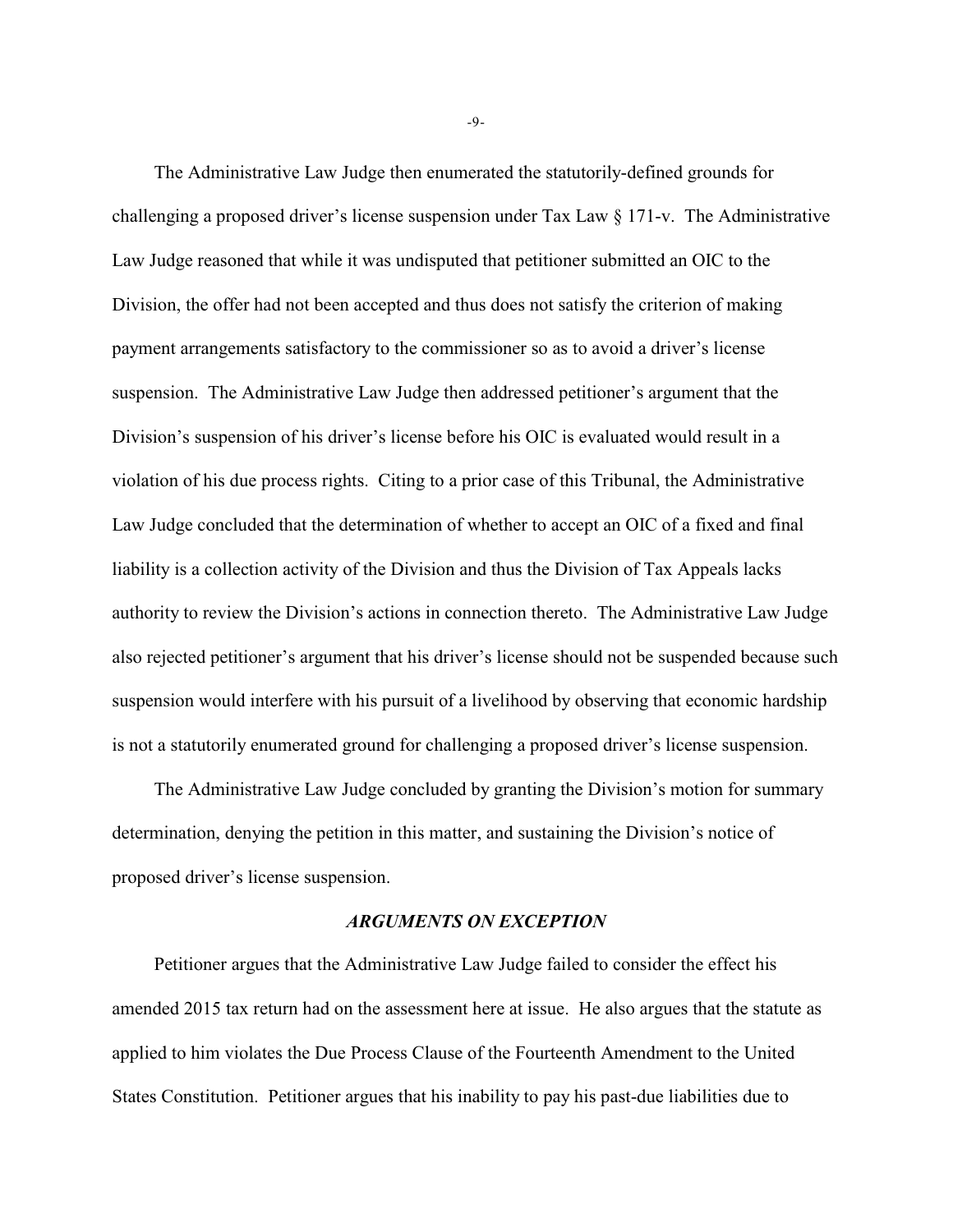The Administrative Law Judge then enumerated the statutorily-defined grounds for challenging a proposed driver's license suspension under Tax Law § 171-v. The Administrative Law Judge reasoned that while it was undisputed that petitioner submitted an OIC to the Division, the offer had not been accepted and thus does not satisfy the criterion of making payment arrangements satisfactory to the commissioner so as to avoid a driver's license suspension. The Administrative Law Judge then addressed petitioner's argument that the Division's suspension of his driver's license before his OIC is evaluated would result in a violation of his due process rights. Citing to a prior case of this Tribunal, the Administrative Law Judge concluded that the determination of whether to accept an OIC of a fixed and final liability is a collection activity of the Division and thus the Division of Tax Appeals lacks authority to review the Division's actions in connection thereto. The Administrative Law Judge also rejected petitioner's argument that his driver's license should not be suspended because such suspension would interfere with his pursuit of a livelihood by observing that economic hardship is not a statutorily enumerated ground for challenging a proposed driver's license suspension.

The Administrative Law Judge concluded by granting the Division's motion for summary determination, denying the petition in this matter, and sustaining the Division's notice of proposed driver's license suspension.

#### *ARGUMENTS ON EXCEPTION*

Petitioner argues that the Administrative Law Judge failed to consider the effect his amended 2015 tax return had on the assessment here at issue. He also argues that the statute as applied to him violates the Due Process Clause of the Fourteenth Amendment to the United States Constitution. Petitioner argues that his inability to pay his past-due liabilities due to

-9-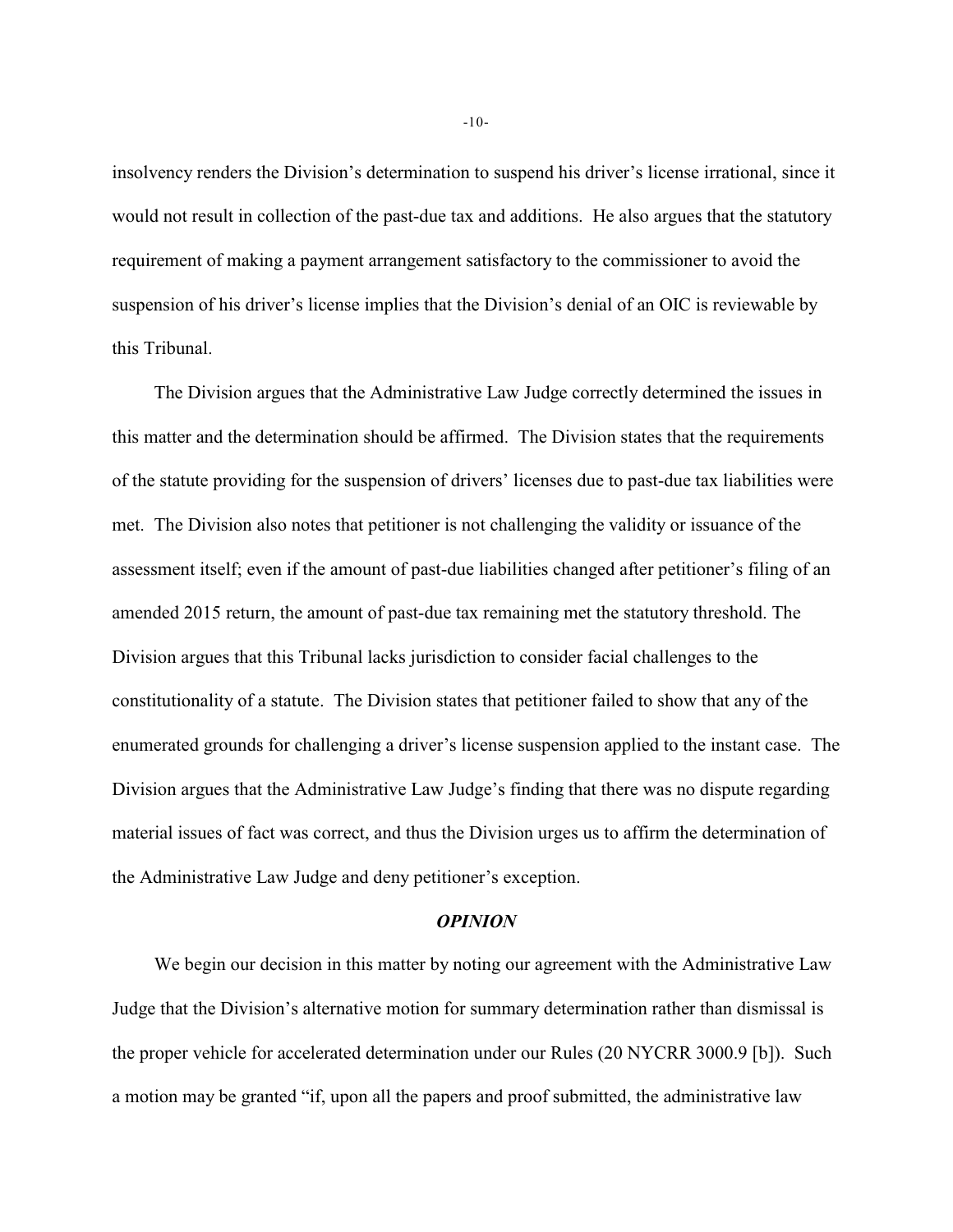insolvency renders the Division's determination to suspend his driver's license irrational, since it would not result in collection of the past-due tax and additions. He also argues that the statutory requirement of making a payment arrangement satisfactory to the commissioner to avoid the suspension of his driver's license implies that the Division's denial of an OIC is reviewable by this Tribunal.

The Division argues that the Administrative Law Judge correctly determined the issues in this matter and the determination should be affirmed. The Division states that the requirements of the statute providing for the suspension of drivers' licenses due to past-due tax liabilities were met. The Division also notes that petitioner is not challenging the validity or issuance of the assessment itself; even if the amount of past-due liabilities changed after petitioner's filing of an amended 2015 return, the amount of past-due tax remaining met the statutory threshold. The Division argues that this Tribunal lacks jurisdiction to consider facial challenges to the constitutionality of a statute. The Division states that petitioner failed to show that any of the enumerated grounds for challenging a driver's license suspension applied to the instant case. The Division argues that the Administrative Law Judge's finding that there was no dispute regarding material issues of fact was correct, and thus the Division urges us to affirm the determination of the Administrative Law Judge and deny petitioner's exception.

#### *OPINION*

We begin our decision in this matter by noting our agreement with the Administrative Law Judge that the Division's alternative motion for summary determination rather than dismissal is the proper vehicle for accelerated determination under our Rules (20 NYCRR 3000.9 [b]). Such a motion may be granted "if, upon all the papers and proof submitted, the administrative law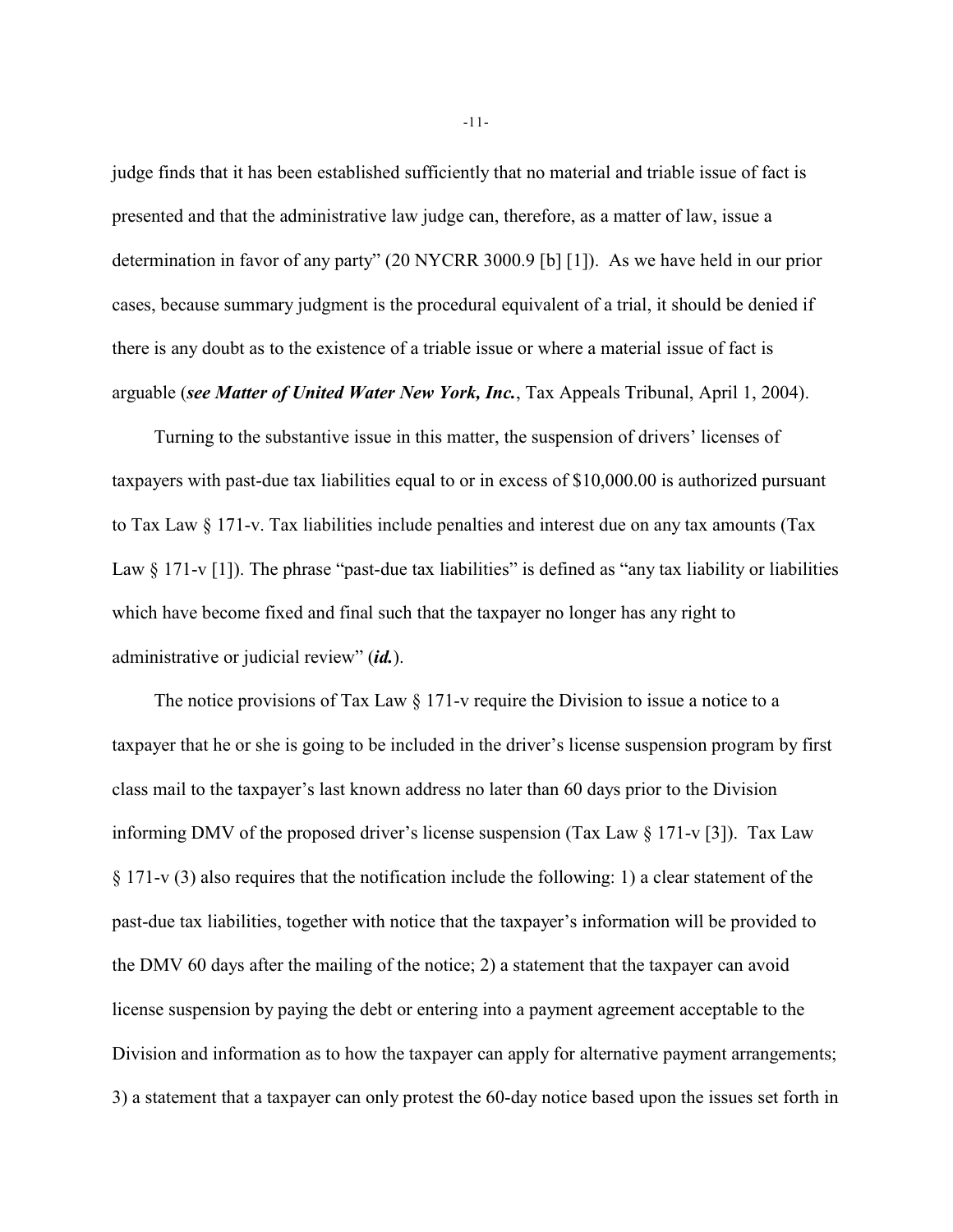judge finds that it has been established sufficiently that no material and triable issue of fact is presented and that the administrative law judge can, therefore, as a matter of law, issue a determination in favor of any party" (20 NYCRR 3000.9 [b] [1]). As we have held in our prior cases, because summary judgment is the procedural equivalent of a trial, it should be denied if there is any doubt as to the existence of a triable issue or where a material issue of fact is arguable (*see Matter of United Water New York, Inc.*, Tax Appeals Tribunal, April 1, 2004).

Turning to the substantive issue in this matter, the suspension of drivers' licenses of taxpayers with past-due tax liabilities equal to or in excess of \$10,000.00 is authorized pursuant to Tax Law § 171-v. Tax liabilities include penalties and interest due on any tax amounts (Tax Law  $\S 171-v [1]$ ). The phrase "past-due tax liabilities" is defined as "any tax liability or liabilities" which have become fixed and final such that the taxpayer no longer has any right to administrative or judicial review" (*id.*).

The notice provisions of Tax Law § 171-v require the Division to issue a notice to a taxpayer that he or she is going to be included in the driver's license suspension program by first class mail to the taxpayer's last known address no later than 60 days prior to the Division informing DMV of the proposed driver's license suspension (Tax Law § 171-v [3]). Tax Law § 171-v (3) also requires that the notification include the following: 1) a clear statement of the past-due tax liabilities, together with notice that the taxpayer's information will be provided to the DMV 60 days after the mailing of the notice; 2) a statement that the taxpayer can avoid license suspension by paying the debt or entering into a payment agreement acceptable to the Division and information as to how the taxpayer can apply for alternative payment arrangements; 3) a statement that a taxpayer can only protest the 60-day notice based upon the issues set forth in

-11-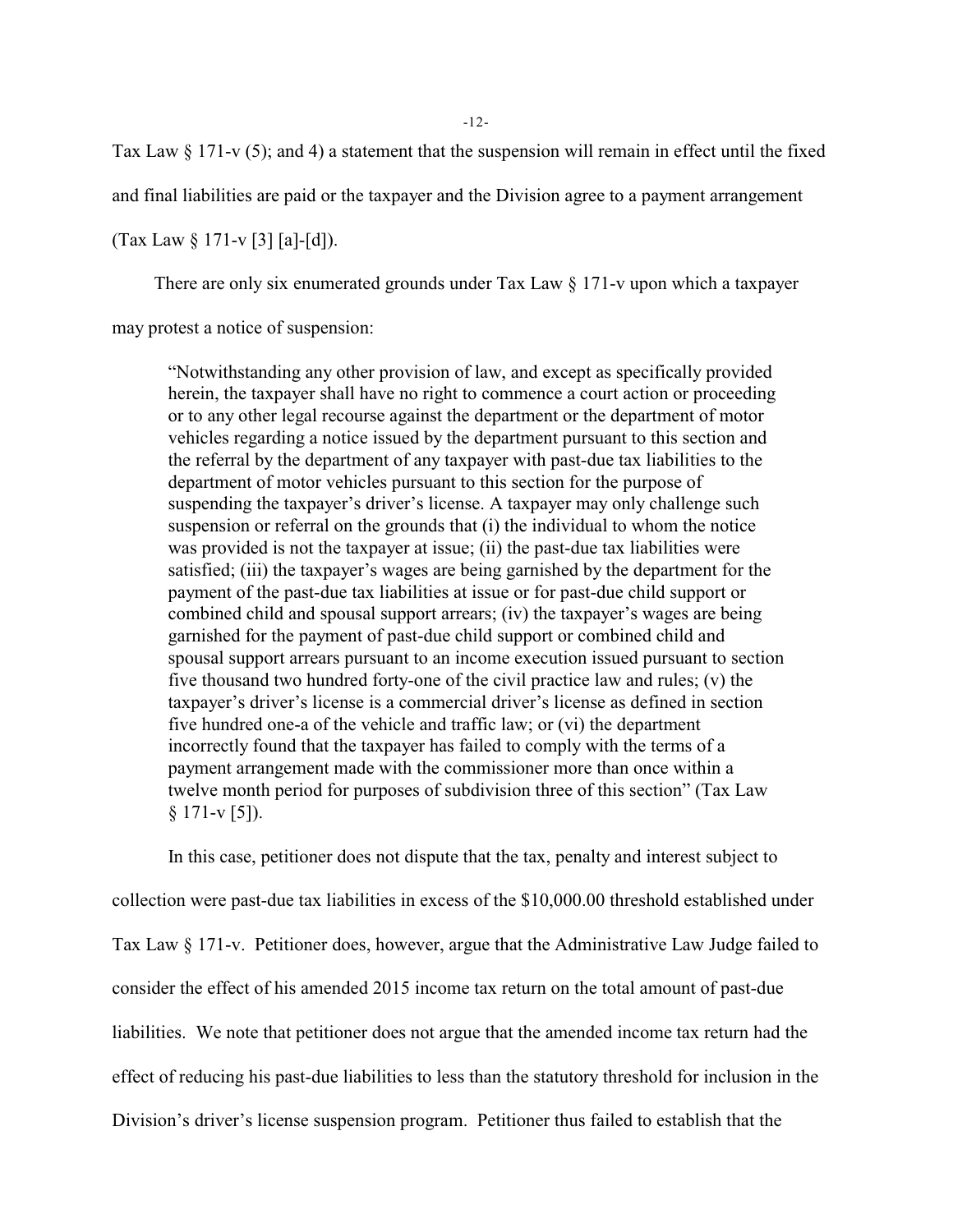-12-

Tax Law  $\S 171-v(5)$ ; and 4) a statement that the suspension will remain in effect until the fixed

and final liabilities are paid or the taxpayer and the Division agree to a payment arrangement

(Tax Law  $\S 171-v [3] [a]-[d]$ ).

There are only six enumerated grounds under Tax Law  $\S 171$ -v upon which a taxpayer

may protest a notice of suspension:

"Notwithstanding any other provision of law, and except as specifically provided herein, the taxpayer shall have no right to commence a court action or proceeding or to any other legal recourse against the department or the department of motor vehicles regarding a notice issued by the department pursuant to this section and the referral by the department of any taxpayer with past-due tax liabilities to the department of motor vehicles pursuant to this section for the purpose of suspending the taxpayer's driver's license. A taxpayer may only challenge such suspension or referral on the grounds that (i) the individual to whom the notice was provided is not the taxpayer at issue; (ii) the past-due tax liabilities were satisfied; (iii) the taxpayer's wages are being garnished by the department for the payment of the past-due tax liabilities at issue or for past-due child support or combined child and spousal support arrears; (iv) the taxpayer's wages are being garnished for the payment of past-due child support or combined child and spousal support arrears pursuant to an income execution issued pursuant to section five thousand two hundred forty-one of the civil practice law and rules; (v) the taxpayer's driver's license is a commercial driver's license as defined in section five hundred one-a of the vehicle and traffic law; or (vi) the department incorrectly found that the taxpayer has failed to comply with the terms of a payment arrangement made with the commissioner more than once within a twelve month period for purposes of subdivision three of this section" (Tax Law  $§ 171-v [5]$ .

In this case, petitioner does not dispute that the tax, penalty and interest subject to collection were past-due tax liabilities in excess of the \$10,000.00 threshold established under Tax Law § 171-v. Petitioner does, however, argue that the Administrative Law Judge failed to consider the effect of his amended 2015 income tax return on the total amount of past-due liabilities. We note that petitioner does not argue that the amended income tax return had the effect of reducing his past-due liabilities to less than the statutory threshold for inclusion in the Division's driver's license suspension program. Petitioner thus failed to establish that the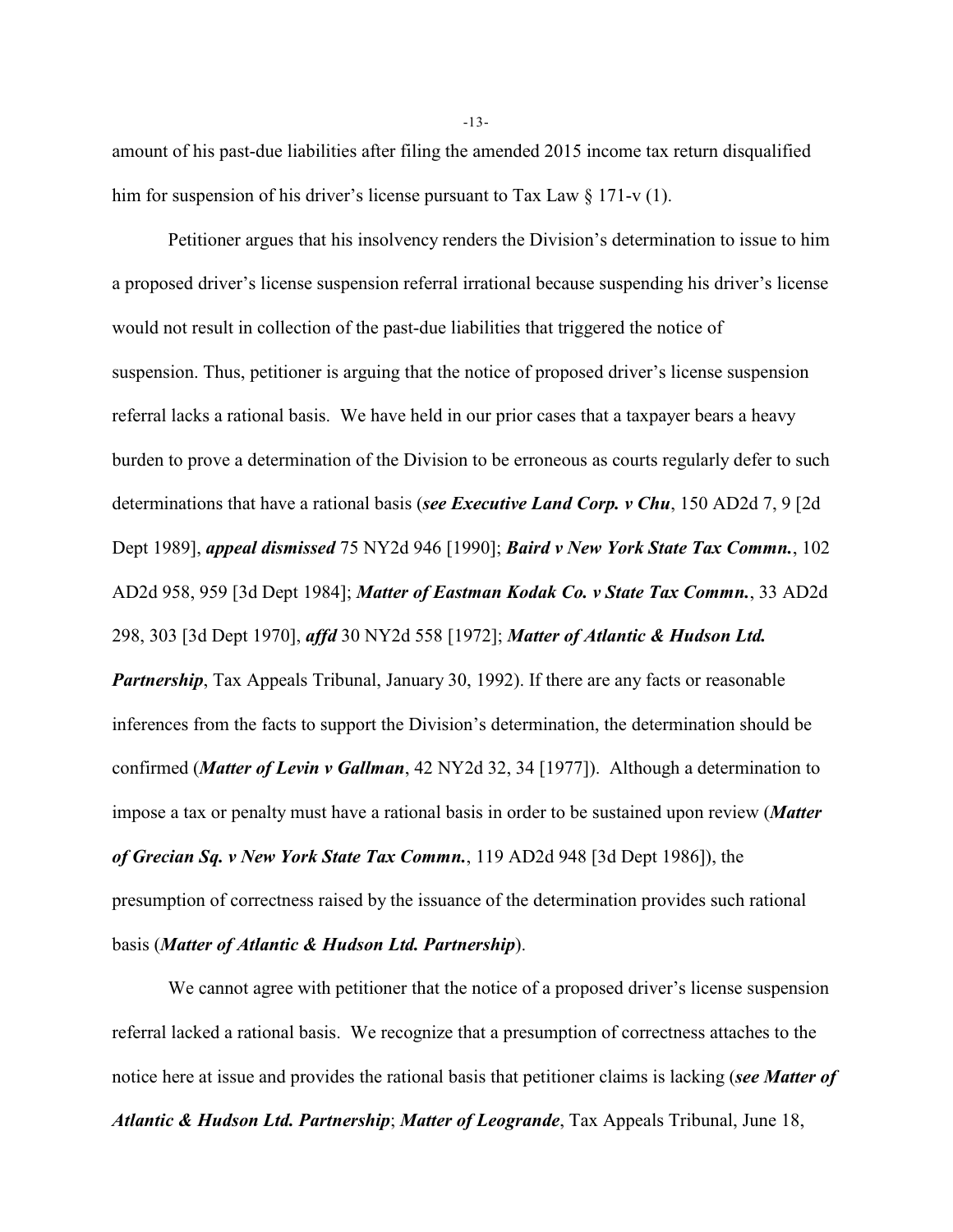amount of his past-due liabilities after filing the amended 2015 income tax return disqualified him for suspension of his driver's license pursuant to Tax Law § 171-v (1).

Petitioner argues that his insolvency renders the Division's determination to issue to him a proposed driver's license suspension referral irrational because suspending his driver's license would not result in collection of the past-due liabilities that triggered the notice of suspension. Thus, petitioner is arguing that the notice of proposed driver's license suspension referral lacks a rational basis. We have held in our prior cases that a taxpayer bears a heavy burden to prove a determination of the Division to be erroneous as courts regularly defer to such determinations that have a rational basis (*see Executive Land Corp. v Chu*, 150 AD2d 7, 9 [2d Dept 1989], *appeal dismissed* 75 NY2d 946 [1990]; *Baird v New York State Tax Commn.*, 102 AD2d 958, 959 [3d Dept 1984]; *Matter of Eastman Kodak Co. v State Tax Commn.*, 33 AD2d 298, 303 [3d Dept 1970], *affd* 30 NY2d 558 [1972]; *Matter of Atlantic & Hudson Ltd. Partnership*, Tax Appeals Tribunal, January 30, 1992). If there are any facts or reasonable inferences from the facts to support the Division's determination, the determination should be confirmed (*Matter of Levin v Gallman*, 42 NY2d 32, 34 [1977]). Although a determination to impose a tax or penalty must have a rational basis in order to be sustained upon review (*Matter of Grecian Sq. v New York State Tax Commn.*, 119 AD2d 948 [3d Dept 1986]), the presumption of correctness raised by the issuance of the determination provides such rational basis (*Matter of Atlantic & Hudson Ltd. Partnership*).

We cannot agree with petitioner that the notice of a proposed driver's license suspension referral lacked a rational basis. We recognize that a presumption of correctness attaches to the notice here at issue and provides the rational basis that petitioner claims is lacking (*see Matter of Atlantic & Hudson Ltd. Partnership*; *Matter of Leogrande*, Tax Appeals Tribunal, June 18,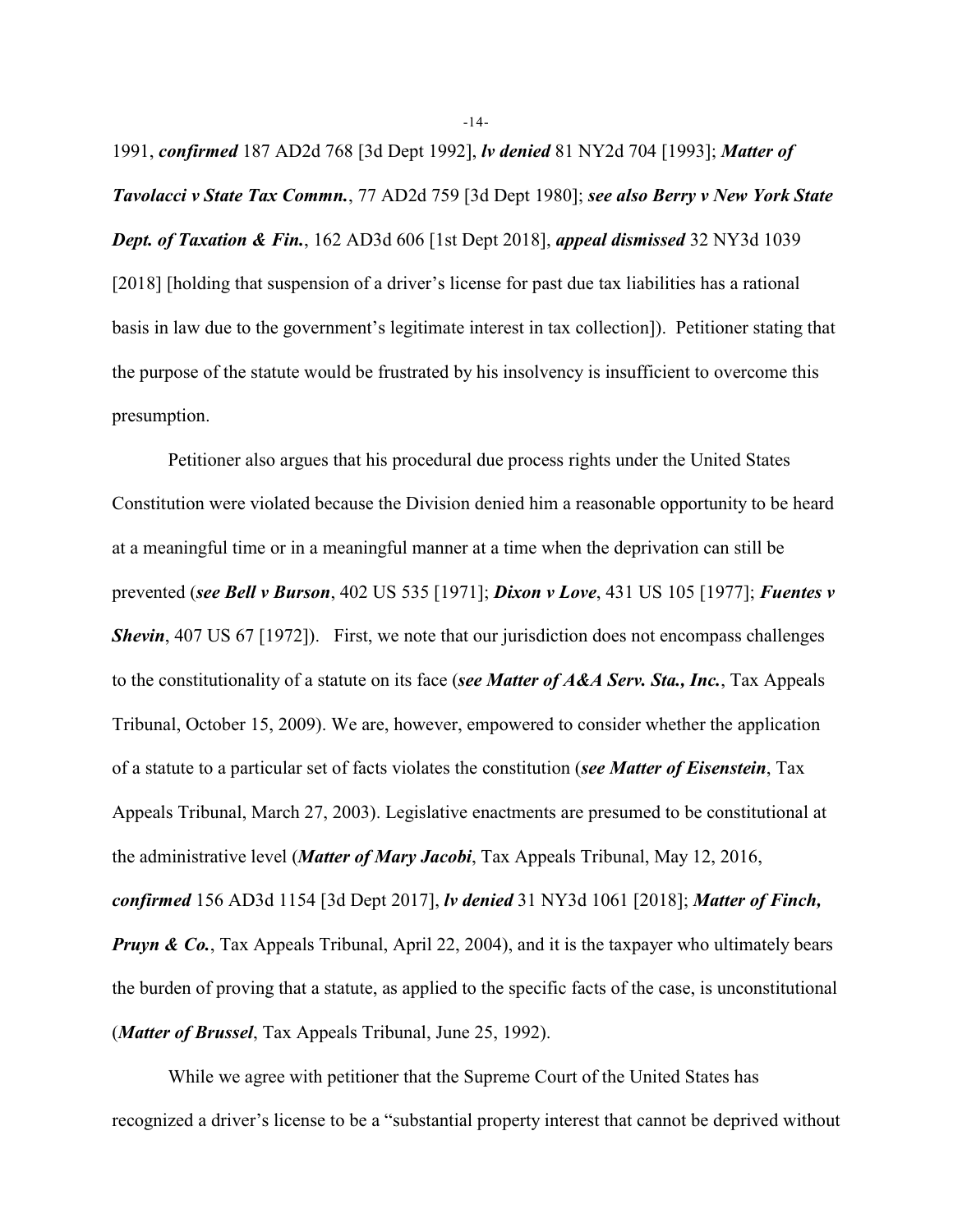1991, *confirmed* 187 AD2d 768 [3d Dept 1992], *lv denied* 81 NY2d 704 [1993]; *Matter of Tavolacci v State Tax Commn.*, 77 AD2d 759 [3d Dept 1980]; *see also Berry v New York State Dept. of Taxation & Fin.*, 162 AD3d 606 [1st Dept 2018], *appeal dismissed* 32 NY3d 1039 [2018] [holding that suspension of a driver's license for past due tax liabilities has a rational basis in law due to the government's legitimate interest in tax collection]). Petitioner stating that the purpose of the statute would be frustrated by his insolvency is insufficient to overcome this presumption.

Petitioner also argues that his procedural due process rights under the United States Constitution were violated because the Division denied him a reasonable opportunity to be heard at a meaningful time or in a meaningful manner at a time when the deprivation can still be prevented (*see Bell v Burson*, 402 US 535 [1971]; *Dixon v Love*, 431 US 105 [1977]; *Fuentes v Shevin*, 407 US 67 [1972]). First, we note that our jurisdiction does not encompass challenges to the constitutionality of a statute on its face (*see Matter of A&A Serv. Sta., Inc.*, Tax Appeals Tribunal, October 15, 2009). We are, however, empowered to consider whether the application of a statute to a particular set of facts violates the constitution (*see Matter of Eisenstein*, Tax Appeals Tribunal, March 27, 2003). Legislative enactments are presumed to be constitutional at the administrative level (*Matter of Mary Jacobi*, Tax Appeals Tribunal, May 12, 2016, *confirmed* 156 AD3d 1154 [3d Dept 2017], *lv denied* 31 NY3d 1061 [2018]; *Matter of Finch, Pruyn & Co.*, Tax Appeals Tribunal, April 22, 2004), and it is the taxpayer who ultimately bears the burden of proving that a statute, as applied to the specific facts of the case, is unconstitutional (*Matter of Brussel*, Tax Appeals Tribunal, June 25, 1992).

While we agree with petitioner that the Supreme Court of the United States has recognized a driver's license to be a "substantial property interest that cannot be deprived without

-14-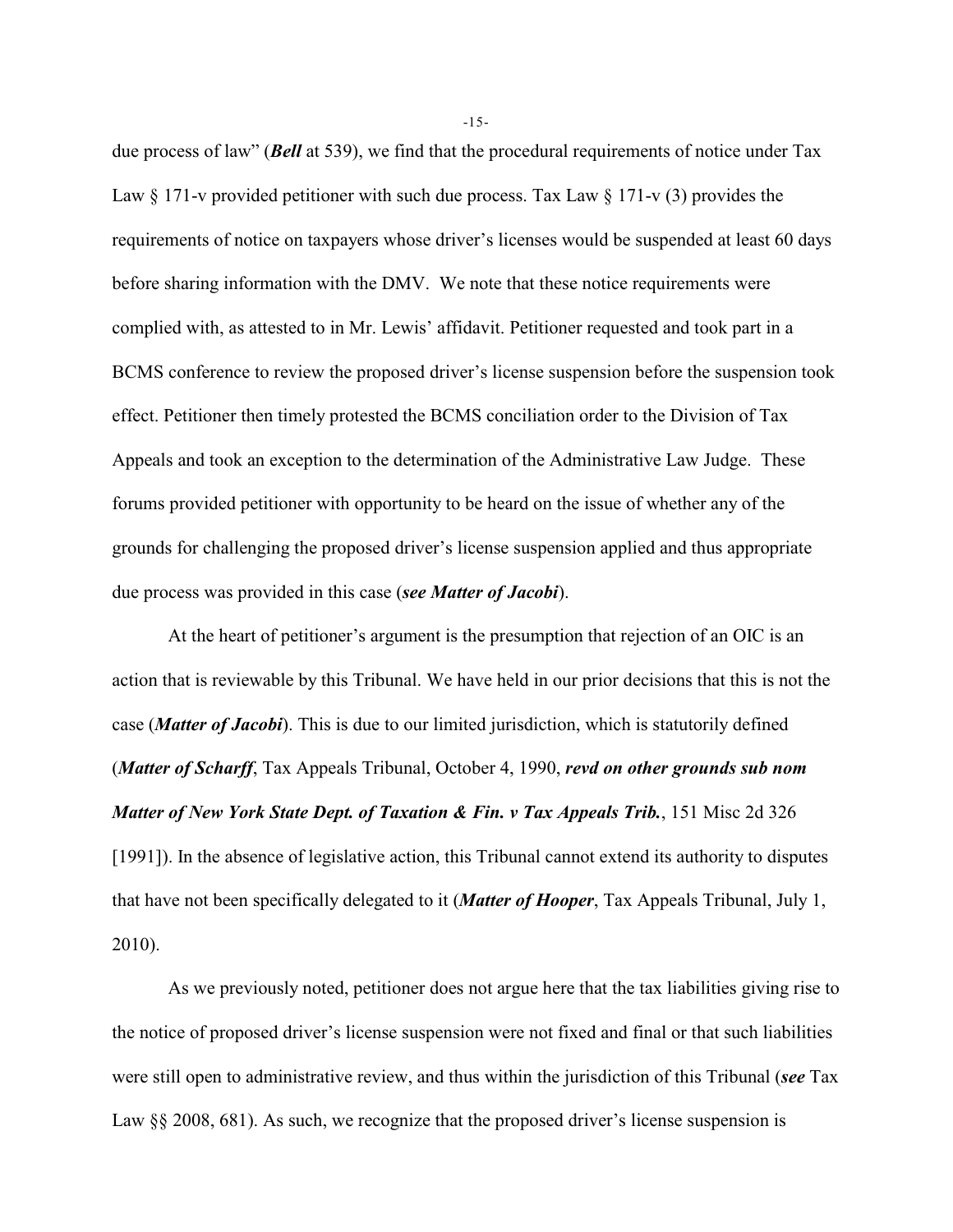due process of law" (*Bell* at 539), we find that the procedural requirements of notice under Tax Law  $\S 171$ -v provided petitioner with such due process. Tax Law  $\S 171$ -v (3) provides the requirements of notice on taxpayers whose driver's licenses would be suspended at least 60 days before sharing information with the DMV. We note that these notice requirements were complied with, as attested to in Mr. Lewis' affidavit. Petitioner requested and took part in a BCMS conference to review the proposed driver's license suspension before the suspension took effect. Petitioner then timely protested the BCMS conciliation order to the Division of Tax Appeals and took an exception to the determination of the Administrative Law Judge. These forums provided petitioner with opportunity to be heard on the issue of whether any of the grounds for challenging the proposed driver's license suspension applied and thus appropriate due process was provided in this case (*see Matter of Jacobi*).

At the heart of petitioner's argument is the presumption that rejection of an OIC is an action that is reviewable by this Tribunal. We have held in our prior decisions that this is not the case (*Matter of Jacobi*). This is due to our limited jurisdiction, which is statutorily defined (*Matter of Scharff*, Tax Appeals Tribunal, October 4, 1990, *revd on other grounds sub nom Matter of New York State Dept. of Taxation & Fin. v Tax Appeals Trib.*, 151 Misc 2d 326 [1991]). In the absence of legislative action, this Tribunal cannot extend its authority to disputes that have not been specifically delegated to it (*Matter of Hooper*, Tax Appeals Tribunal, July 1, 2010).

As we previously noted, petitioner does not argue here that the tax liabilities giving rise to the notice of proposed driver's license suspension were not fixed and final or that such liabilities were still open to administrative review, and thus within the jurisdiction of this Tribunal (*see* Tax Law §§ 2008, 681). As such, we recognize that the proposed driver's license suspension is

-15-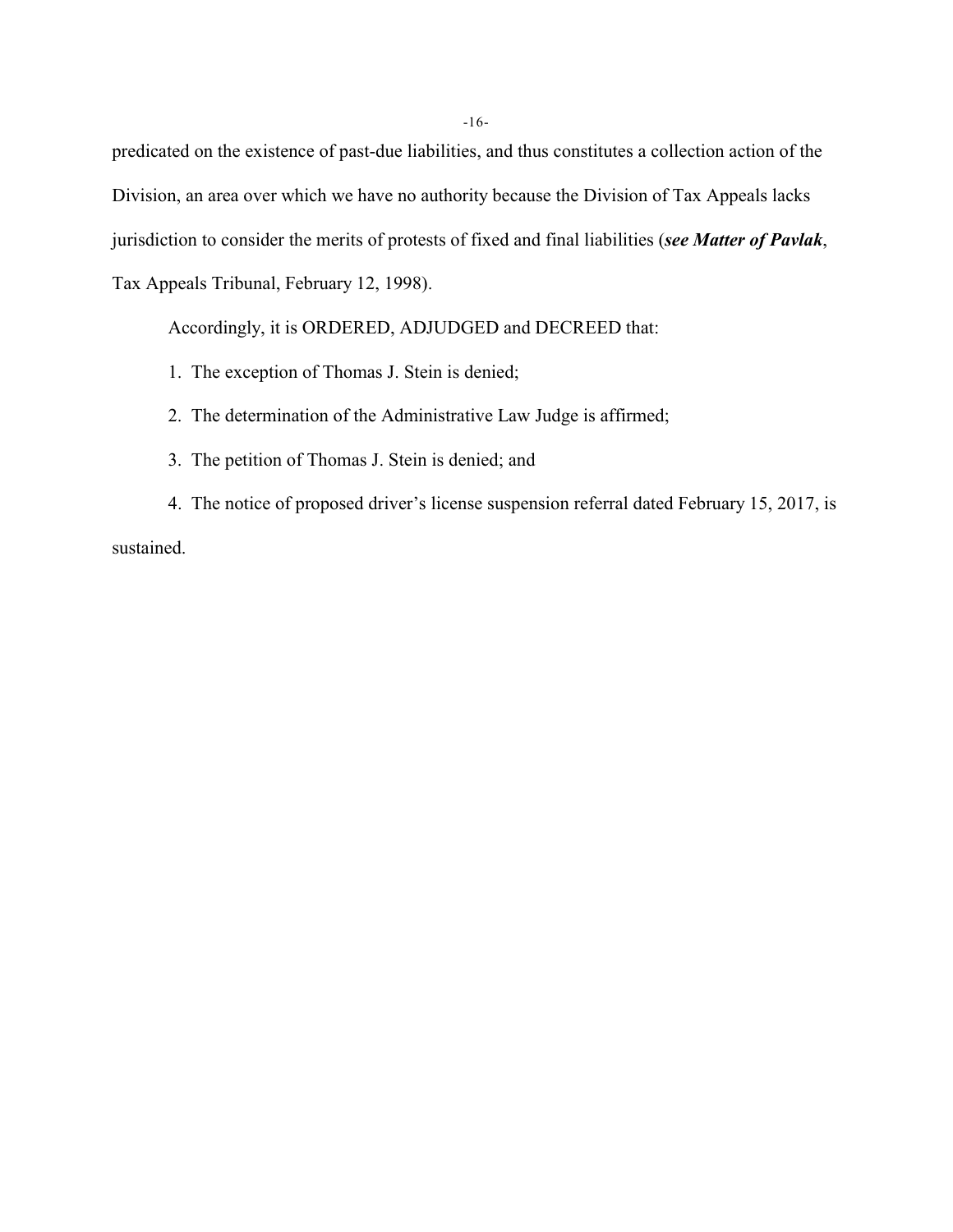predicated on the existence of past-due liabilities, and thus constitutes a collection action of the Division, an area over which we have no authority because the Division of Tax Appeals lacks jurisdiction to consider the merits of protests of fixed and final liabilities (*see Matter of Pavlak*, Tax Appeals Tribunal, February 12, 1998).

Accordingly, it is ORDERED, ADJUDGED and DECREED that:

- 1. The exception of Thomas J. Stein is denied;
- 2. The determination of the Administrative Law Judge is affirmed;
- 3. The petition of Thomas J. Stein is denied; and

4. The notice of proposed driver's license suspension referral dated February 15, 2017, is sustained.